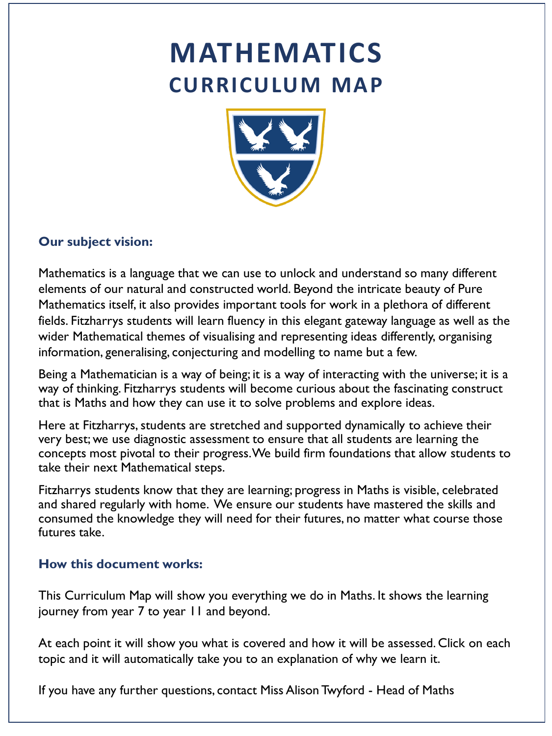# **MATHEMATICS CURRICULUM MAP**



### **Our subject vision:**

Mathematics is a language that we can use to unlock and understand so many different elements of our natural and constructed world. Beyond the intricate beauty of Pure Mathematics itself, it also provides important tools for work in a plethora of different fields. Fitzharrys students will learn fluency in this elegant gateway language as well as the wider Mathematical themes of visualising and representing ideas differently, organising information, generalising, conjecturing and modelling to name but a few.

Being a Mathematician is a way of being; it is a way of interacting with the universe; it is a way of thinking. Fitzharrys students will become curious about the fascinating construct that is Maths and how they can use it to solve problems and explore ideas.

Here at Fitzharrys, students are stretched and supported dynamically to achieve their very best; we use diagnostic assessment to ensure that all students are learning the concepts most pivotal to their progress. We build firm foundations that allow students to take their next Mathematical steps.

Fitzharrys students know that they are learning; progress in Maths is visible, celebrated and shared regularly with home. We ensure our students have mastered the skills and consumed the knowledge they will need for their futures, no matter what course those futures take.

#### **How this document works:**

This Curriculum Map will show you everything we do in Maths. It shows the learning journey from year 7 to year 11 and beyond.

At each point it will show you what is covered and how it will be assessed. Click on each topic and it will automatically take you to an explanation of why we learn it.

If you have any further questions, contact Miss Alison Twyford - Head of Maths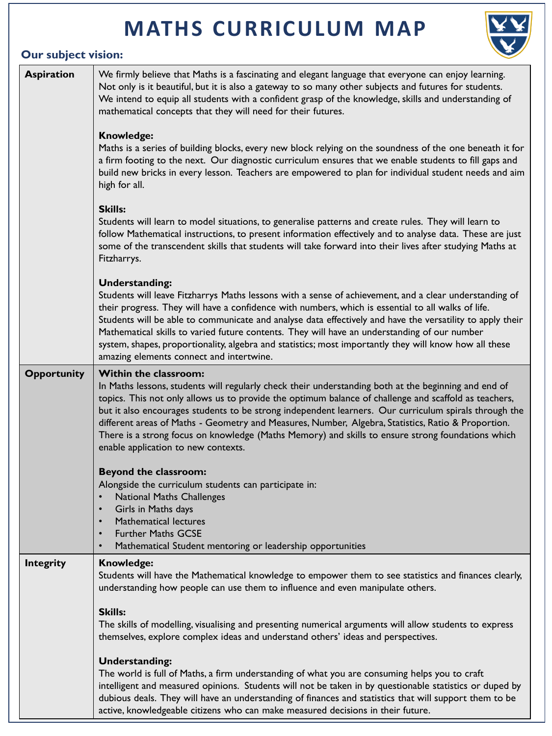# **MATHS CURRICULUM MAP**



## **Our subject vision:**

| <b>Aspiration</b>  | We firmly believe that Maths is a fascinating and elegant language that everyone can enjoy learning.<br>Not only is it beautiful, but it is also a gateway to so many other subjects and futures for students.<br>We intend to equip all students with a confident grasp of the knowledge, skills and understanding of<br>mathematical concepts that they will need for their futures.                                                                                                                                                                                                                   |
|--------------------|----------------------------------------------------------------------------------------------------------------------------------------------------------------------------------------------------------------------------------------------------------------------------------------------------------------------------------------------------------------------------------------------------------------------------------------------------------------------------------------------------------------------------------------------------------------------------------------------------------|
|                    | <b>Knowledge:</b><br>Maths is a series of building blocks, every new block relying on the soundness of the one beneath it for<br>a firm footing to the next. Our diagnostic curriculum ensures that we enable students to fill gaps and<br>build new bricks in every lesson. Teachers are empowered to plan for individual student needs and aim<br>high for all.                                                                                                                                                                                                                                        |
|                    | <b>Skills:</b><br>Students will learn to model situations, to generalise patterns and create rules. They will learn to<br>follow Mathematical instructions, to present information effectively and to analyse data. These are just<br>some of the transcendent skills that students will take forward into their lives after studying Maths at<br>Fitzharrys.                                                                                                                                                                                                                                            |
|                    | <b>Understanding:</b><br>Students will leave Fitzharrys Maths lessons with a sense of achievement, and a clear understanding of<br>their progress. They will have a confidence with numbers, which is essential to all walks of life.<br>Students will be able to communicate and analyse data effectively and have the versatility to apply their<br>Mathematical skills to varied future contents. They will have an understanding of our number<br>system, shapes, proportionality, algebra and statistics; most importantly they will know how all these<br>amazing elements connect and intertwine. |
| <b>Opportunity</b> | <b>Within the classroom:</b><br>In Maths lessons, students will regularly check their understanding both at the beginning and end of<br>topics. This not only allows us to provide the optimum balance of challenge and scaffold as teachers,<br>but it also encourages students to be strong independent learners. Our curriculum spirals through the<br>different areas of Maths - Geometry and Measures, Number, Algebra, Statistics, Ratio & Proportion.<br>There is a strong focus on knowledge (Maths Memory) and skills to ensure strong foundations which<br>enable application to new contexts. |
|                    | <b>Beyond the classroom:</b><br>Alongside the curriculum students can participate in:<br><b>National Maths Challenges</b><br>Girls in Maths days<br>$\bullet$<br><b>Mathematical lectures</b><br>$\bullet$<br><b>Further Maths GCSE</b><br>$\bullet$<br>Mathematical Student mentoring or leadership opportunities<br>$\bullet$                                                                                                                                                                                                                                                                          |
| <b>Integrity</b>   | <b>Knowledge:</b><br>Students will have the Mathematical knowledge to empower them to see statistics and finances clearly,<br>understanding how people can use them to influence and even manipulate others.                                                                                                                                                                                                                                                                                                                                                                                             |
|                    | <b>Skills:</b><br>The skills of modelling, visualising and presenting numerical arguments will allow students to express<br>themselves, explore complex ideas and understand others' ideas and perspectives.                                                                                                                                                                                                                                                                                                                                                                                             |
|                    | <b>Understanding:</b><br>The world is full of Maths, a firm understanding of what you are consuming helps you to craft<br>intelligent and measured opinions. Students will not be taken in by questionable statistics or duped by<br>dubious deals. They will have an understanding of finances and statistics that will support them to be<br>active, knowledgeable citizens who can make measured decisions in their future.                                                                                                                                                                           |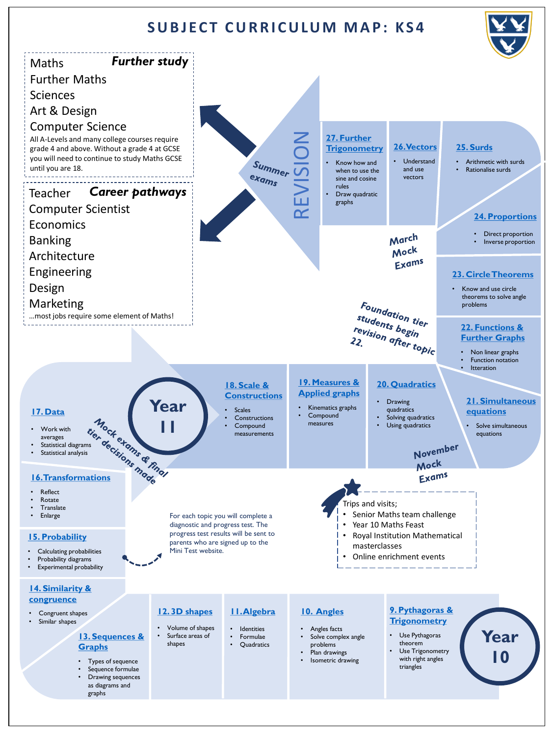### **SUBJECT CURRICULUM MAP: KS4**

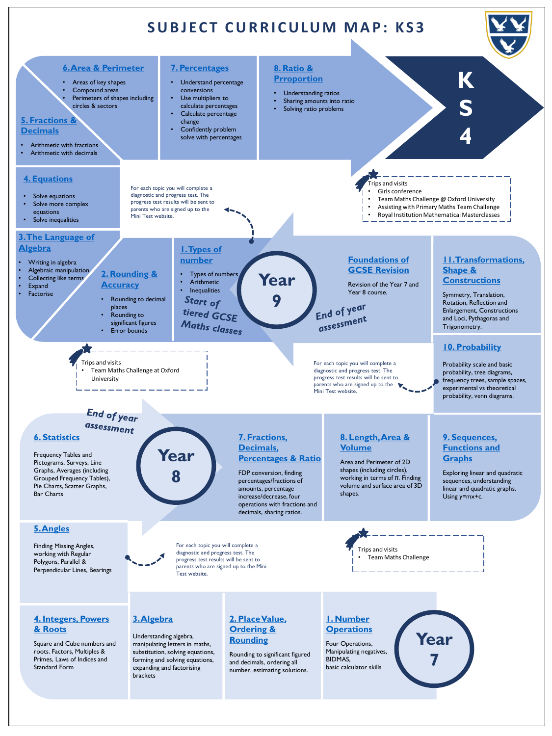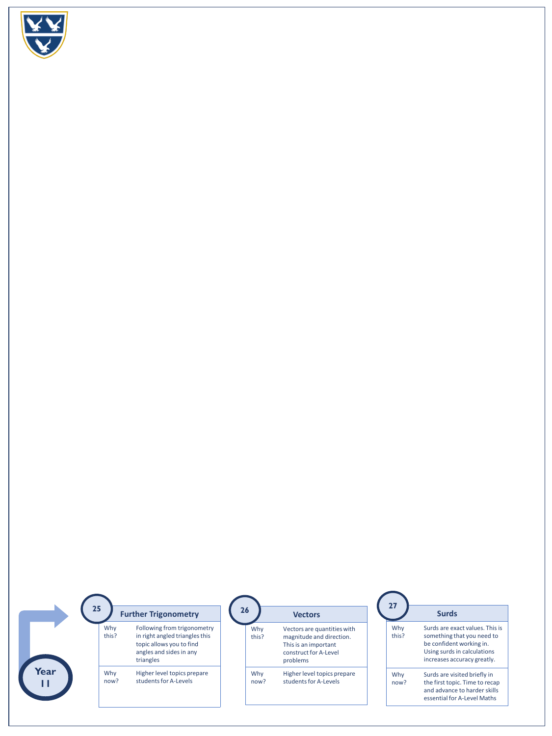<span id="page-4-0"></span>

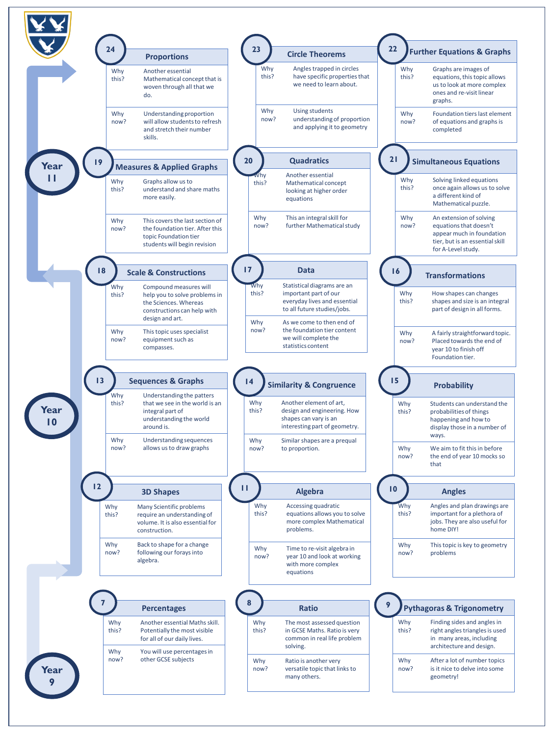<span id="page-5-0"></span>